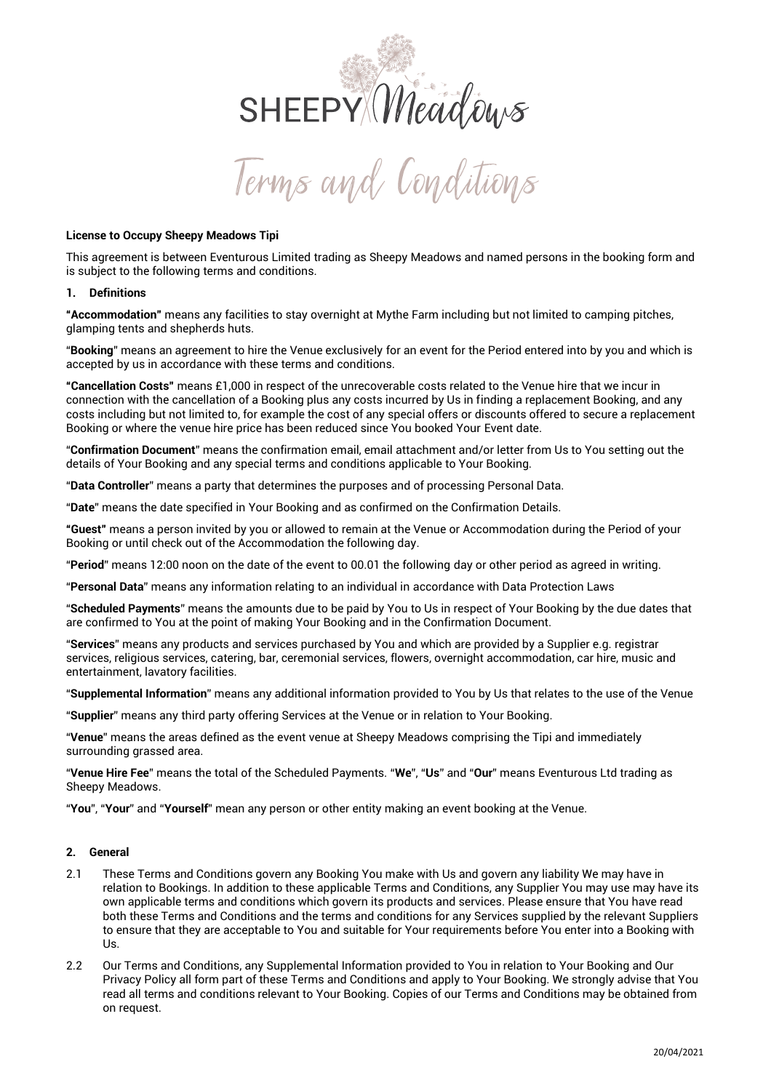

## **License to Occupy Sheepy Meadows Tipi**

This agreement is between Eventurous Limited trading as Sheepy Meadows and named persons in the booking form and is subject to the following terms and conditions.

## **1. Definitions**

**"Accommodation"** means any facilities to stay overnight at Mythe Farm including but not limited to camping pitches, glamping tents and shepherds huts.

"**Booking**" means an agreement to hire the Venue exclusively for an event for the Period entered into by you and which is accepted by us in accordance with these terms and conditions.

**"Cancellation Costs"** means £1,000 in respect of the unrecoverable costs related to the Venue hire that we incur in connection with the cancellation of a Booking plus any costs incurred by Us in finding a replacement Booking, and any costs including but not limited to, for example the cost of any special offers or discounts offered to secure a replacement Booking or where the venue hire price has been reduced since You booked Your Event date.

"**Confirmation Document**" means the confirmation email, email attachment and/or letter from Us to You setting out the details of Your Booking and any special terms and conditions applicable to Your Booking.

"**Data Controller**" means a party that determines the purposes and of processing Personal Data.

"**Date**" means the date specified in Your Booking and as confirmed on the Confirmation Details.

**"Guest"** means a person invited by you or allowed to remain at the Venue or Accommodation during the Period of your Booking or until check out of the Accommodation the following day.

"**Period**" means 12:00 noon on the date of the event to 00.01 the following day or other period as agreed in writing.

"**Personal Data**" means any information relating to an individual in accordance with Data Protection Laws

"**Scheduled Payments**" means the amounts due to be paid by You to Us in respect of Your Booking by the due dates that are confirmed to You at the point of making Your Booking and in the Confirmation Document.

"**Services**" means any products and services purchased by You and which are provided by a Supplier e.g. registrar services, religious services, catering, bar, ceremonial services, flowers, overnight accommodation, car hire, music and entertainment, lavatory facilities.

"**Supplemental Information**" means any additional information provided to You by Us that relates to the use of the Venue

"**Supplier**" means any third party offering Services at the Venue or in relation to Your Booking.

"**Venue**" means the areas defined as the event venue at Sheepy Meadows comprising the Tipi and immediately surrounding grassed area.

"**Venue Hire Fee**" means the total of the Scheduled Payments. "**We**", "**Us**" and "**Our**" means Eventurous Ltd trading as Sheepy Meadows.

"**You**", "**Your**" and "**Yourself**" mean any person or other entity making an event booking at the Venue.

### **2. General**

- 2.1 These Terms and Conditions govern any Booking You make with Us and govern any liability We may have in relation to Bookings. In addition to these applicable Terms and Conditions, any Supplier You may use may have its own applicable terms and conditions which govern its products and services. Please ensure that You have read both these Terms and Conditions and the terms and conditions for any Services supplied by the relevant Suppliers to ensure that they are acceptable to You and suitable for Your requirements before You enter into a Booking with Us.
- 2.2 Our Terms and Conditions, any Supplemental Information provided to You in relation to Your Booking and Our Privacy Policy all form part of these Terms and Conditions and apply to Your Booking. We strongly advise that You read all terms and conditions relevant to Your Booking. Copies of our Terms and Conditions may be obtained from on request.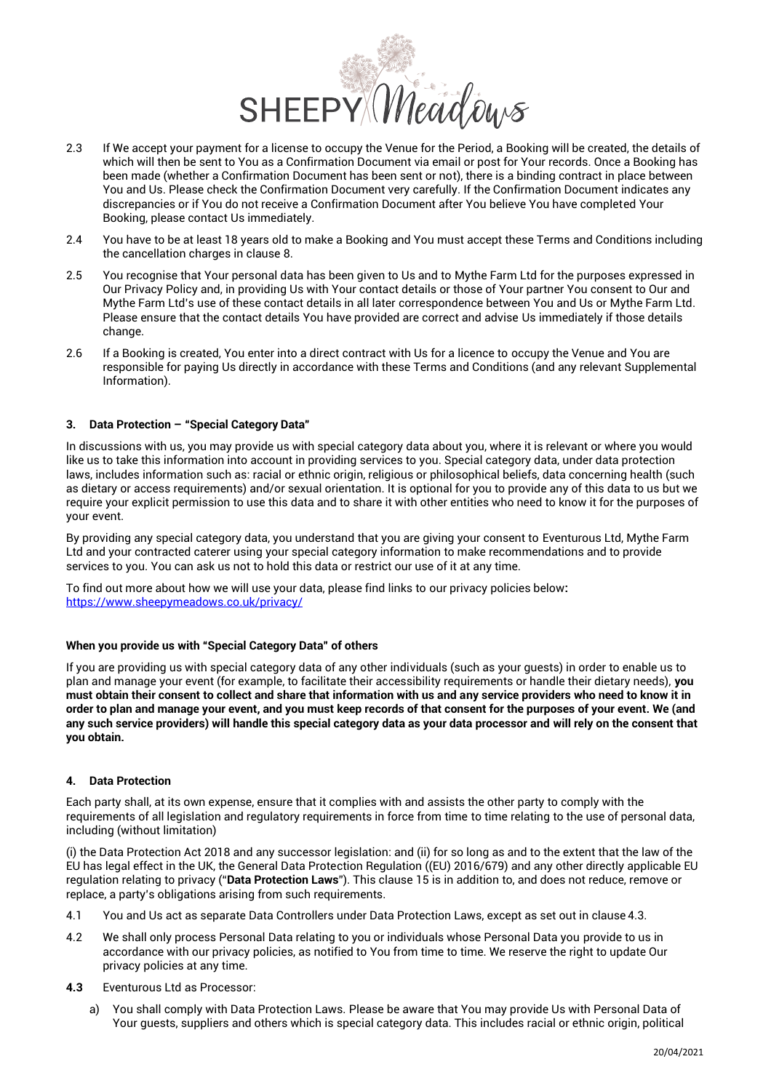

- 2.3 If We accept your payment for a license to occupy the Venue for the Period, a Booking will be created, the details of which will then be sent to You as a Confirmation Document via email or post for Your records. Once a Booking has been made (whether a Confirmation Document has been sent or not), there is a binding contract in place between You and Us. Please check the Confirmation Document very carefully. If the Confirmation Document indicates any discrepancies or if You do not receive a Confirmation Document after You believe You have completed Your Booking, please contact Us immediately.
- 2.4 You have to be at least 18 years old to make a Booking and You must accept these Terms and Conditions including the cancellation charges in clause [8.](#page-3-0)
- 2.5 You recognise that Your personal data has been given to Us and to Mythe Farm Ltd for the purposes expressed in Our Privacy Policy and, in providing Us with Your contact details or those of Your partner You consent to Our and Mythe Farm Ltd's use of these contact details in all later correspondence between You and Us or Mythe Farm Ltd. Please ensure that the contact details You have provided are correct and advise Us immediately if those details change.
- 2.6 If a Booking is created, You enter into a direct contract with Us for a licence to occupy the Venue and You are responsible for paying Us directly in accordance with these Terms and Conditions (and any relevant Supplemental Information).

# **3. Data Protection – "Special Category Data"**

In discussions with us, you may provide us with special category data about you, where it is relevant or where you would like us to take this information into account in providing services to you. Special category data, under data protection laws, includes information such as: racial or ethnic origin, religious or philosophical beliefs, data concerning health (such as dietary or access requirements) and/or sexual orientation. It is optional for you to provide any of this data to us but we require your explicit permission to use this data and to share it with other entities who need to know it for the purposes of your event.

By providing any special category data, you understand that you are giving your consent to Eventurous Ltd, Mythe Farm Ltd and your contracted caterer using your special category information to make recommendations and to provide services to you. You can ask us not to hold this data or restrict our use of it at any time.

To find out more about how we will use your data, please find links to our privacy policies below**:** <https://www.sheepymeadows.co.uk/privacy/>

### **When you provide us with "Special Category Data" of others**

If you are providing us with special category data of any other individuals (such as your guests) in order to enable us to plan and manage your event (for example, to facilitate their accessibility requirements or handle their dietary needs), **you must obtain their consent to collect and share that information with us and any service providers who need to know it in order to plan and manage your event, and you must keep records of that consent for the purposes of your event. We (and any such service providers) will handle this special category data as your data processor and will rely on the consent that you obtain.**

# **4. Data Protection**

Each party shall, at its own expense, ensure that it complies with and assists the other party to comply with the requirements of all legislation and regulatory requirements in force from time to time relating to the use of personal data, including (without limitation)

(i) the Data Protection Act 2018 and any successor legislation: and (ii) for so long as and to the extent that the law of the EU has legal effect in the UK, the General Data Protection Regulation ((EU) 2016/679) and any other directly applicable EU regulation relating to privacy ("**Data Protection Laws**"). This clause [15 is](#page-5-0) in addition to, and does not reduce, remove or replace, a party's obligations arising from such requirements.

- 4.1 You and Us act as separate Data Controllers under Data Protection Laws, except as set out in clause [4.3.](#page-1-0)
- 4.2 We shall only process Personal Data relating to you or individuals whose Personal Data you provide to us in accordance with our privacy policies, as notified to You from time to time. We reserve the right to update Our privacy policies at any time.
- <span id="page-1-0"></span>**4.3** Eventurous Ltd as Processor:
	- a) You shall comply with Data Protection Laws. Please be aware that You may provide Us with Personal Data of Your guests, suppliers and others which is special category data. This includes racial or ethnic origin, political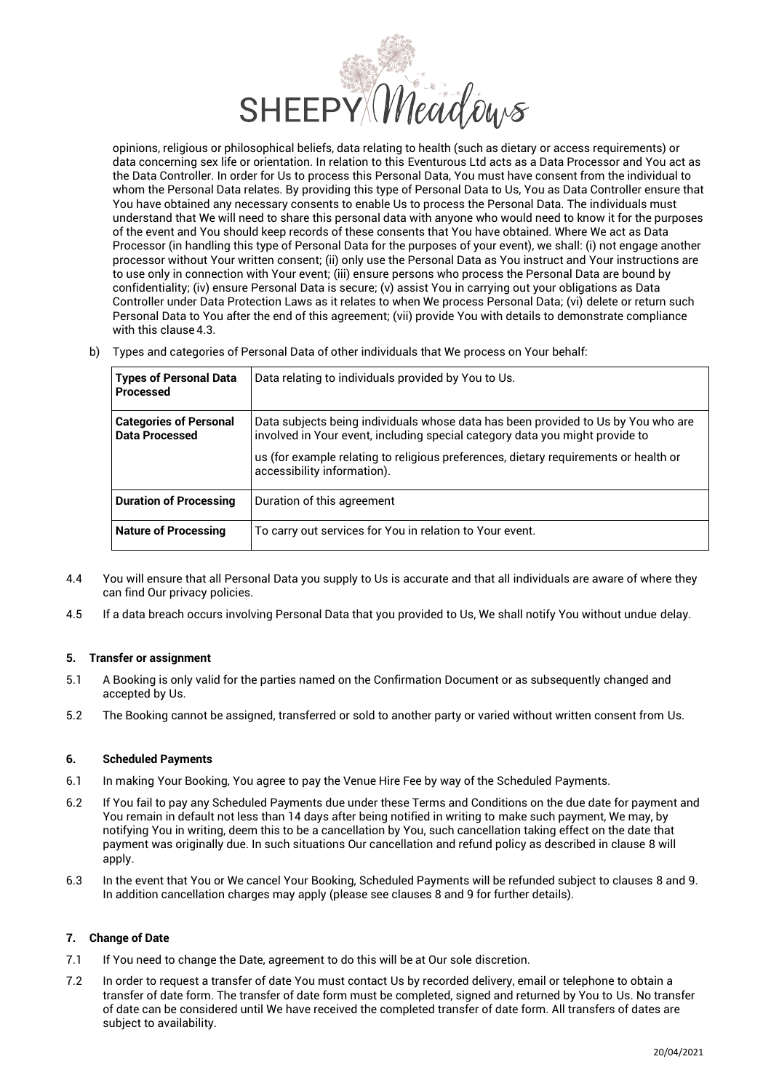

opinions, religious or philosophical beliefs, data relating to health (such as dietary or access requirements) or data concerning sex life or orientation. In relation to this Eventurous Ltd acts as a Data Processor and You act as the Data Controller. In order for Us to process this Personal Data, You must have consent from the individual to whom the Personal Data relates. By providing this type of Personal Data to Us, You as Data Controller ensure that You have obtained any necessary consents to enable Us to process the Personal Data. The individuals must understand that We will need to share this personal data with anyone who would need to know it for the purposes of the event and You should keep records of these consents that You have obtained. Where We act as Data Processor (in handling this type of Personal Data for the purposes of your event), we shall: (i) not engage another processor without Your written consent; (ii) only use the Personal Data as You instruct and Your instructions are to use only in connection with Your event; (iii) ensure persons who process the Personal Data are bound by confidentiality; (iv) ensure Personal Data is secure; (v) assist You in carrying out your obligations as Data Controller under Data Protection Laws as it relates to when We process Personal Data; (vi) delete or return such Personal Data to You after the end of this agreement; (vii) provide You with details to demonstrate compliance with this clause [4.3.](#page-1-0)

b) Types and categories of Personal Data of other individuals that We process on Your behalf:

| <b>Types of Personal Data</b><br>l Processed    | Data relating to individuals provided by You to Us.                                                                                                               |
|-------------------------------------------------|-------------------------------------------------------------------------------------------------------------------------------------------------------------------|
| <b>Categories of Personal</b><br>Data Processed | Data subjects being individuals whose data has been provided to Us by You who are<br>involved in Your event, including special category data you might provide to |
|                                                 | us (for example relating to religious preferences, dietary requirements or health or<br>accessibility information).                                               |
| Duration of Processing                          | Duration of this agreement                                                                                                                                        |
| <b>Nature of Processing</b>                     | To carry out services for You in relation to Your event.                                                                                                          |

- 4.4 You will ensure that all Personal Data you supply to Us is accurate and that all individuals are aware of where they can find Our privacy policies.
- 4.5 If a data breach occurs involving Personal Data that you provided to Us, We shall notify You without undue delay.

### **5. Transfer or assignment**

- 5.1 A Booking is only valid for the parties named on the Confirmation Document or as subsequently changed and accepted by Us.
- 5.2 The Booking cannot be assigned, transferred or sold to another party or varied without written consent from Us.

### **6. Scheduled Payments**

- 6.1 In making Your Booking, You agree to pay the Venue Hire Fee by way of the Scheduled Payments.
- 6.2 If You fail to pay any Scheduled Payments due under these Terms and Conditions on the due date for payment and You remain in default not less than 14 days after being notified in writing to make such payment, We may, by notifying You in writing, deem this to be a cancellation by You, such cancellation taking effect on the date that payment was originally due. In such situations Our cancellation and refund policy as described in clause [8](#page-3-0) will apply.
- 6.3 In the event that You or We cancel Your Booking, Scheduled Payments will be refunded subject to clauses [8](#page-3-0) an[d 9.](#page-4-0)  In addition cancellation charges may apply (please see clauses [8](#page-3-0) an[d 9](#page-4-0) for further details).

# **7. Change of Date**

- 7.1 If You need to change the Date, agreement to do this will be at Our sole discretion.
- 7.2 In order to request a transfer of date You must contact Us by recorded delivery, email or telephone to obtain a transfer of date form. The transfer of date form must be completed, signed and returned by You to Us. No transfer of date can be considered until We have received the completed transfer of date form. All transfers of dates are subject to availability.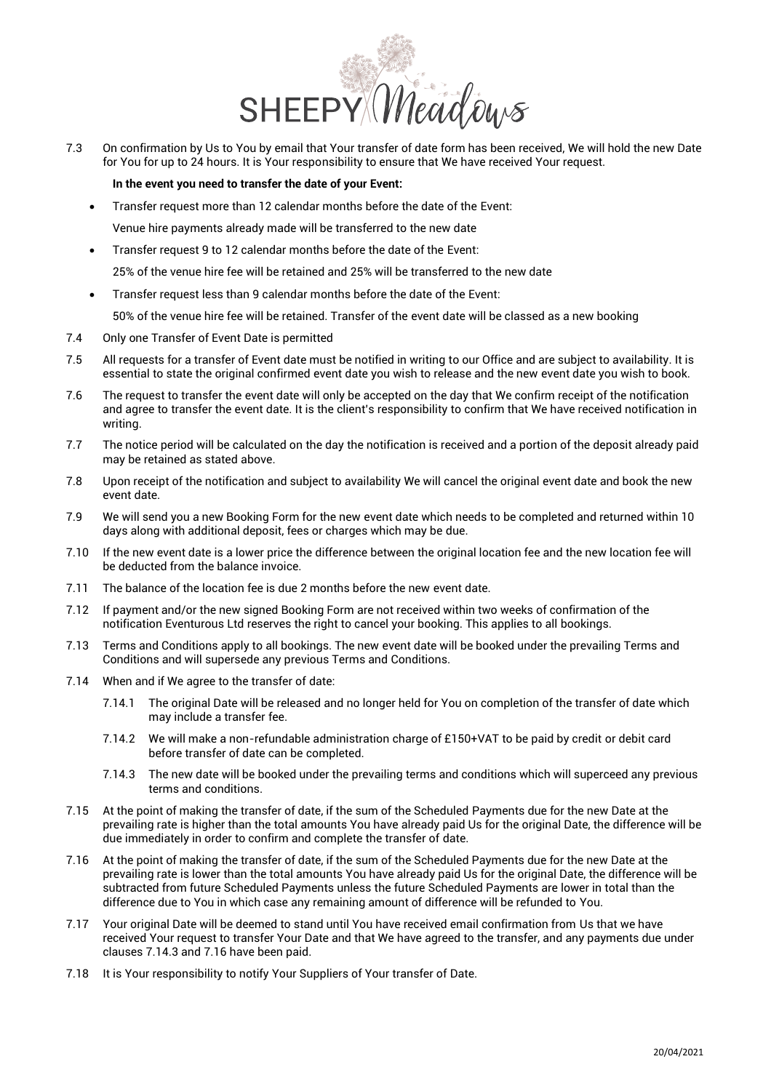

7.3 On confirmation by Us to You by email that Your transfer of date form has been received, We will hold the new Date for You for up to 24 hours. It is Your responsibility to ensure that We have received Your request.

## **In the event you need to transfer the date of your Event:**

- Transfer request more than 12 calendar months before the date of the Event: Venue hire payments already made will be transferred to the new date
- Transfer request 9 to 12 calendar months before the date of the Event: 25% of the venue hire fee will be retained and 25% will be transferred to the new date
- Transfer request less than 9 calendar months before the date of the Event: 50% of the venue hire fee will be retained. Transfer of the event date will be classed as a new booking
- 7.4 Only one Transfer of Event Date is permitted
- 7.5 All requests for a transfer of Event date must be notified in writing to our Office and are subject to availability. It is essential to state the original confirmed event date you wish to release and the new event date you wish to book.
- 7.6 The request to transfer the event date will only be accepted on the day that We confirm receipt of the notification and agree to transfer the event date. It is the client's responsibility to confirm that We have received notification in writing.
- 7.7 The notice period will be calculated on the day the notification is received and a portion of the deposit already paid may be retained as stated above.
- 7.8 Upon receipt of the notification and subject to availability We will cancel the original event date and book the new event date.
- 7.9 We will send you a new Booking Form for the new event date which needs to be completed and returned within 10 days along with additional deposit, fees or charges which may be due.
- 7.10 If the new event date is a lower price the difference between the original location fee and the new location fee will be deducted from the balance invoice.
- 7.11 The balance of the location fee is due 2 months before the new event date.
- 7.12 If payment and/or the new signed Booking Form are not received within two weeks of confirmation of the notification Eventurous Ltd reserves the right to cancel your booking. This applies to all bookings.
- 7.13 Terms and Conditions apply to all bookings. The new event date will be booked under the prevailing Terms and Conditions and will supersede any previous Terms and Conditions.
- <span id="page-3-1"></span>7.14 When and if We agree to the transfer of date:
	- 7.14.1 The original Date will be released and no longer held for You on completion of the transfer of date which may include a transfer fee.
	- 7.14.2 We will make a non-refundable administration charge of £150+VAT to be paid by credit or debit card before transfer of date can be completed.
	- 7.14.3 The new date will be booked under the prevailing terms and conditions which will superceed any previous terms and conditions.
- 7.15 At the point of making the transfer of date, if the sum of the Scheduled Payments due for the new Date at the prevailing rate is higher than the total amounts You have already paid Us for the original Date, the difference will be due immediately in order to confirm and complete the transfer of date.
- <span id="page-3-2"></span>7.16 At the point of making the transfer of date, if the sum of the Scheduled Payments due for the new Date at the prevailing rate is lower than the total amounts You have already paid Us for the original Date, the difference will be subtracted from future Scheduled Payments unless the future Scheduled Payments are lower in total than the difference due to You in which case any remaining amount of difference will be refunded to You.
- 7.17 Your original Date will be deemed to stand until You have received email confirmation from Us that we have received Your request to transfer Your Date and that We have agreed to the transfer, and any payments due under clause[s 7.14.3](#page-3-1) an[d 7.16 h](#page-3-2)ave been paid.
- <span id="page-3-0"></span>7.18 It is Your responsibility to notify Your Suppliers of Your transfer of Date.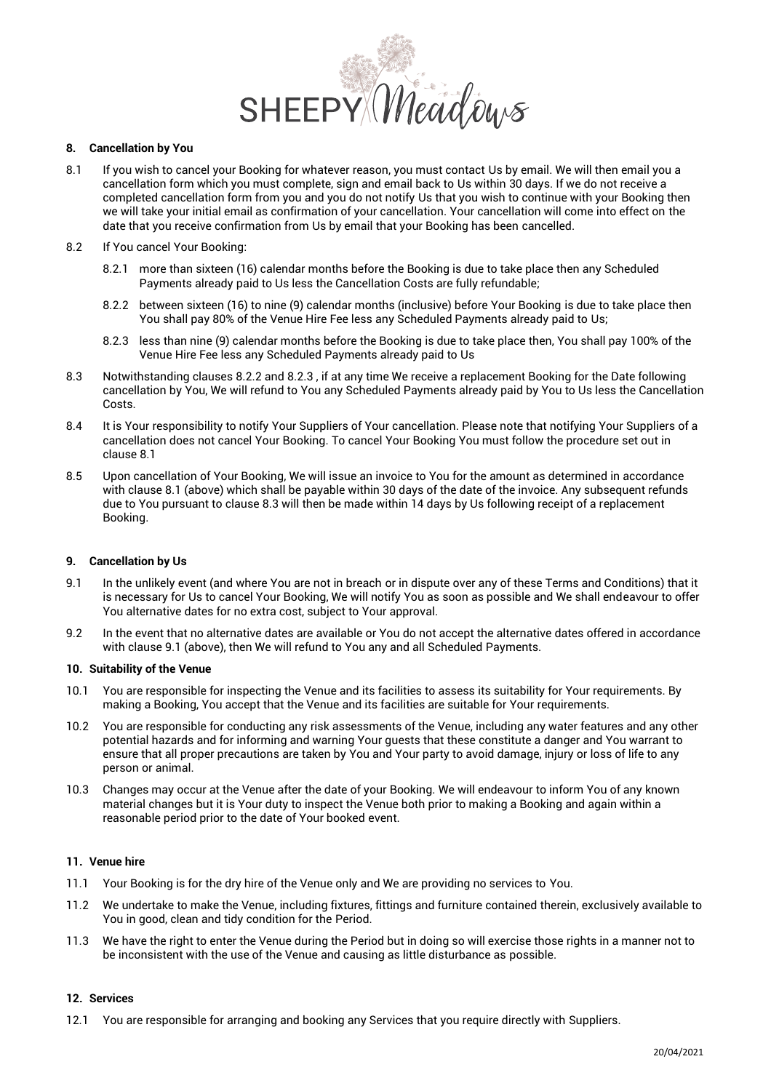

## <span id="page-4-3"></span>**8. Cancellation by You**

- 8.1 If you wish to cancel your Booking for whatever reason, you must contact Us by email. We will then email you a cancellation form which you must complete, sign and email back to Us within 30 days. If we do not receive a completed cancellation form from you and you do not notify Us that you wish to continue with your Booking then we will take your initial email as confirmation of your cancellation. Your cancellation will come into effect on the date that you receive confirmation from Us by email that your Booking has been cancelled.
- <span id="page-4-1"></span>8.2 If You cancel Your Booking:
	- 8.2.1 more than sixteen (16) calendar months before the Booking is due to take place then any Scheduled Payments already paid to Us less the Cancellation Costs are fully refundable;
	- 8.2.2 between sixteen (16) to nine (9) calendar months (inclusive) before Your Booking is due to take place then You shall pay 80% of the Venue Hire Fee less any Scheduled Payments already paid to Us;
	- 8.2.3 less than nine (9) calendar months before the Booking is due to take place then, You shall pay 100% of the Venue Hire Fee less any Scheduled Payments already paid to Us
- <span id="page-4-4"></span><span id="page-4-2"></span>8.3 Notwithstanding clauses [8.2.2 a](#page-4-1)nd [8.2.3 ,](#page-4-2) if at any time We receive a replacement Booking for the Date following cancellation by You, We will refund to You any Scheduled Payments already paid by You to Us less the Cancellation Costs.
- 8.4 It is Your responsibility to notify Your Suppliers of Your cancellation. Please note that notifying Your Suppliers of a cancellation does not cancel Your Booking. To cancel Your Booking You must follow the procedure set out in clause [8.1](#page-4-3)
- 8.5 Upon cancellation of Your Booking, We will issue an invoice to You for the amount as determined in accordance with clause [8.1 \(](#page-4-3)above) which shall be payable within 30 days of the date of the invoice. Any subsequent refunds due to You pursuant to claus[e 8.3 w](#page-4-4)ill then be made within 14 days by Us following receipt of a replacement Booking.

### <span id="page-4-0"></span>**9. Cancellation by Us**

- <span id="page-4-5"></span>9.1 In the unlikely event (and where You are not in breach or in dispute over any of these Terms and Conditions) that it is necessary for Us to cancel Your Booking, We will notify You as soon as possible and We shall endeavour to offer You alternative dates for no extra cost, subject to Your approval.
- 9.2 In the event that no alternative dates are available or You do not accept the alternative dates offered in accordance with claus[e 9.1 \(](#page-4-5)above), then We will refund to You any and all Scheduled Payments.

# **10. Suitability of the Venue**

- 10.1 You are responsible for inspecting the Venue and its facilities to assess its suitability for Your requirements. By making a Booking, You accept that the Venue and its facilities are suitable for Your requirements.
- 10.2 You are responsible for conducting any risk assessments of the Venue, including any water features and any other potential hazards and for informing and warning Your guests that these constitute a danger and You warrant to ensure that all proper precautions are taken by You and Your party to avoid damage, injury or loss of life to any person or animal.
- 10.3 Changes may occur at the Venue after the date of your Booking. We will endeavour to inform You of any known material changes but it is Your duty to inspect the Venue both prior to making a Booking and again within a reasonable period prior to the date of Your booked event.

# **11. Venue hire**

- 11.1 Your Booking is for the dry hire of the Venue only and We are providing no services to You.
- 11.2 We undertake to make the Venue, including fixtures, fittings and furniture contained therein, exclusively available to You in good, clean and tidy condition for the Period.
- 11.3 We have the right to enter the Venue during the Period but in doing so will exercise those rights in a manner not to be inconsistent with the use of the Venue and causing as little disturbance as possible.

## **12. Services**

12.1 You are responsible for arranging and booking any Services that you require directly with Suppliers.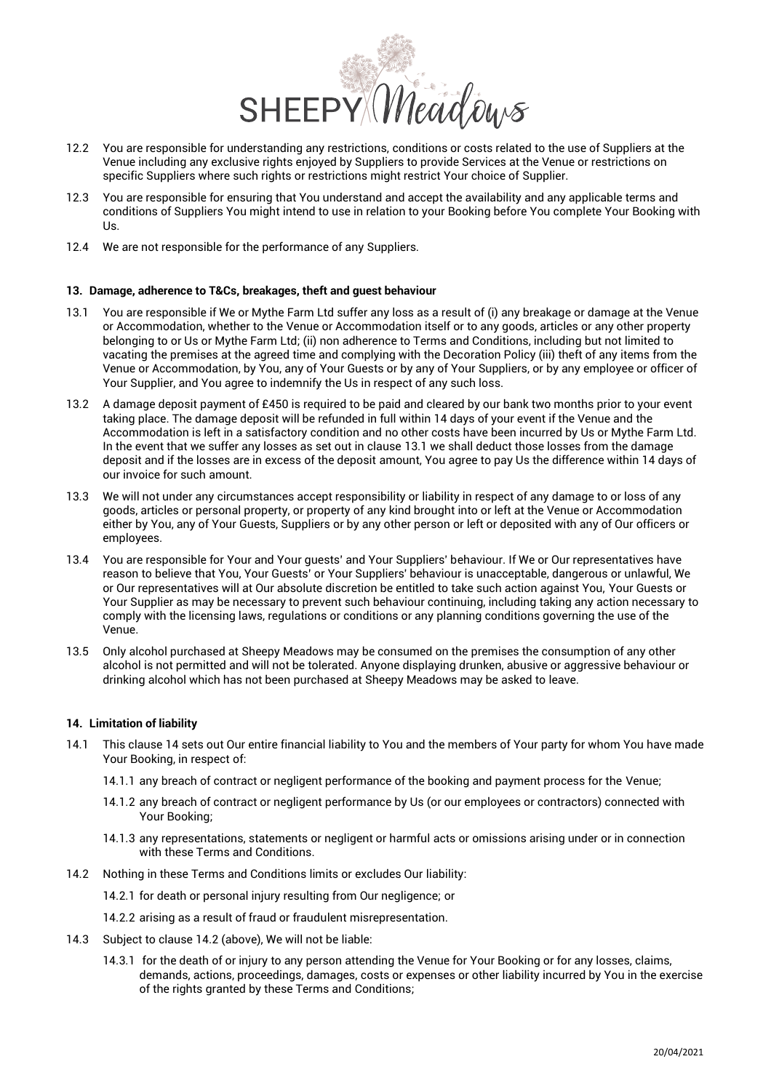

- 12.2 You are responsible for understanding any restrictions, conditions or costs related to the use of Suppliers at the Venue including any exclusive rights enjoyed by Suppliers to provide Services at the Venue or restrictions on specific Suppliers where such rights or restrictions might restrict Your choice of Supplier.
- 12.3 You are responsible for ensuring that You understand and accept the availability and any applicable terms and conditions of Suppliers You might intend to use in relation to your Booking before You complete Your Booking with Us.
- 12.4 We are not responsible for the performance of any Suppliers.

### **13. Damage, adherence to T&Cs, breakages, theft and guest behaviour**

- <span id="page-5-1"></span>13.1 You are responsible if We or Mythe Farm Ltd suffer any loss as a result of (i) any breakage or damage at the Venue or Accommodation, whether to the Venue or Accommodation itself or to any goods, articles or any other property belonging to or Us or Mythe Farm Ltd; (ii) non adherence to Terms and Conditions, including but not limited to vacating the premises at the agreed time and complying with the Decoration Policy (iii) theft of any items from the Venue or Accommodation, by You, any of Your Guests or by any of Your Suppliers, or by any employee or officer of Your Supplier, and You agree to indemnify the Us in respect of any such loss.
- 13.2 A damage deposit payment of £450 is required to be paid and cleared by our bank two months prior to your event taking place. The damage deposit will be refunded in full within 14 days of your event if the Venue and the Accommodation is left in a satisfactory condition and no other costs have been incurred by Us or Mythe Farm Ltd. In the event that we suffer any losses as set out in clause [13.1 w](#page-5-1)e shall deduct those losses from the damage deposit and if the losses are in excess of the deposit amount, You agree to pay Us the difference within 14 days of our invoice for such amount.
- 13.3 We will not under any circumstances accept responsibility or liability in respect of any damage to or loss of any goods, articles or personal property, or property of any kind brought into or left at the Venue or Accommodation either by You, any of Your Guests, Suppliers or by any other person or left or deposited with any of Our officers or employees.
- 13.4 You are responsible for Your and Your guests' and Your Suppliers' behaviour. If We or Our representatives have reason to believe that You, Your Guests' or Your Suppliers' behaviour is unacceptable, dangerous or unlawful, We or Our representatives will at Our absolute discretion be entitled to take such action against You, Your Guests or Your Supplier as may be necessary to prevent such behaviour continuing, including taking any action necessary to comply with the licensing laws, regulations or conditions or any planning conditions governing the use of the Venue.
- 13.5 Only alcohol purchased at Sheepy Meadows may be consumed on the premises the consumption of any other alcohol is not permitted and will not be tolerated. Anyone displaying drunken, abusive or aggressive behaviour or drinking alcohol which has not been purchased at Sheepy Meadows may be asked to leave.

### <span id="page-5-0"></span>**14. Limitation of liability**

- 14.1 This clause [14](#page-5-0) sets out Our entire financial liability to You and the members of Your party for whom You have made Your Booking, in respect of:
	- 14.1.1 any breach of contract or negligent performance of the booking and payment process for the Venue;
	- 14.1.2 any breach of contract or negligent performance by Us (or our employees or contractors) connected with Your Booking;
	- 14.1.3 any representations, statements or negligent or harmful acts or omissions arising under or in connection with these Terms and Conditions.
- <span id="page-5-2"></span>14.2 Nothing in these Terms and Conditions limits or excludes Our liability:
	- 14.2.1 for death or personal injury resulting from Our negligence; or
	- 14.2.2 arising as a result of fraud or fraudulent misrepresentation.
- <span id="page-5-3"></span>14.3 Subject to clause [14.2 \(](#page-5-2)above), We will not be liable:
	- 14.3.1 for the death of or injury to any person attending the Venue for Your Booking or for any losses, claims, demands, actions, proceedings, damages, costs or expenses or other liability incurred by You in the exercise of the rights granted by these Terms and Conditions;